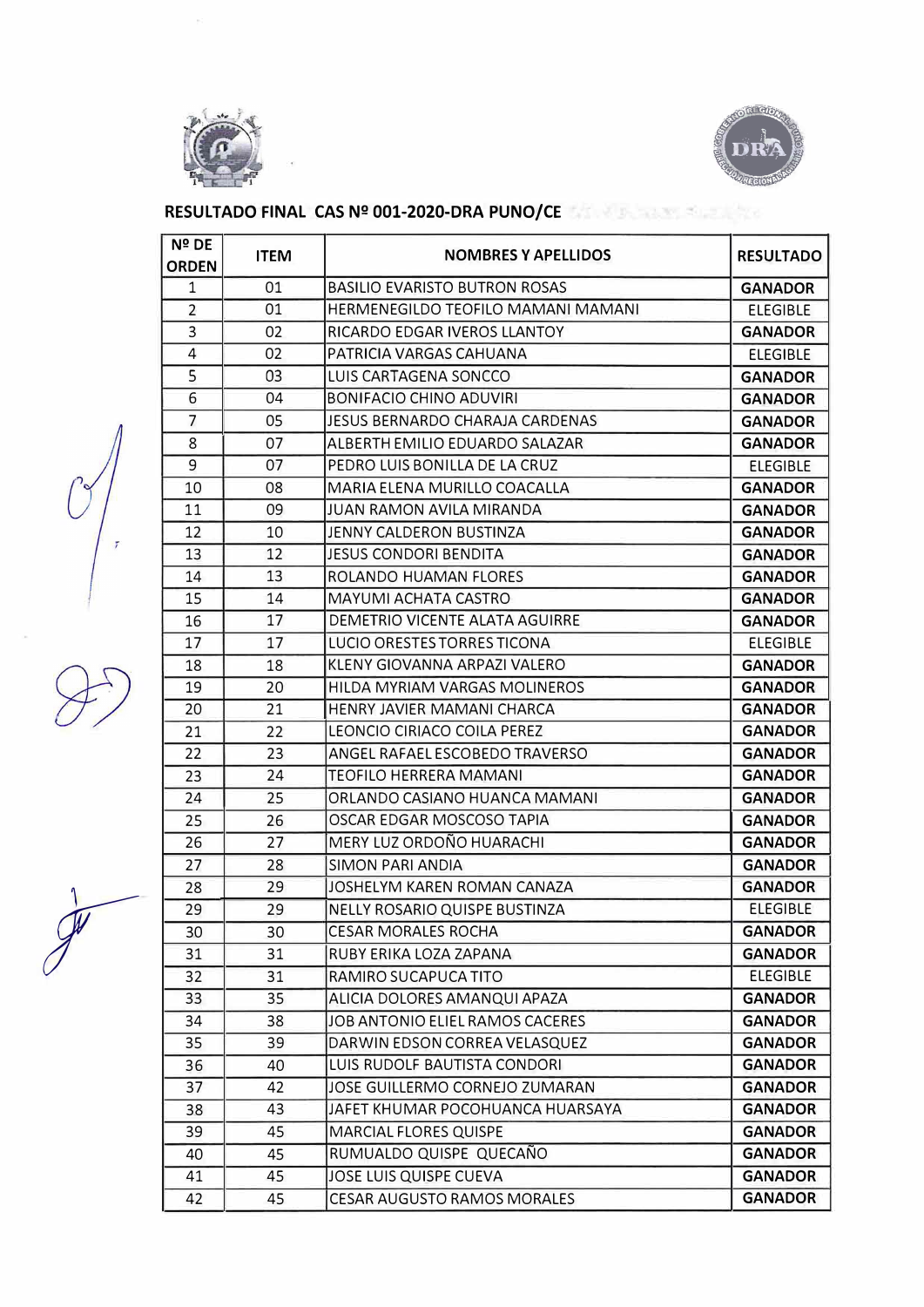



## **RESULTADO FINAL CAS N2 001-2020-DRA PUNO/CE**

|               | <b>Nº DE</b><br><b>ORDEN</b> | <b>ITEM</b> | <b>NOMBRES Y APELLIDOS</b>             | <b>RESULTADO</b> |
|---------------|------------------------------|-------------|----------------------------------------|------------------|
|               | $\mathbf{1}$                 | 01          | <b>BASILIO EVARISTO BUTRON ROSAS</b>   | <b>GANADOR</b>   |
|               | $\overline{2}$               | 01          | HERMENEGILDO TEOFILO MAMANI MAMANI     | <b>ELEGIBLE</b>  |
|               | 3                            | 02          | RICARDO EDGAR IVEROS LLANTOY           | <b>GANADOR</b>   |
|               | $\overline{4}$               | 02          | PATRICIA VARGAS CAHUANA                | <b>ELEGIBLE</b>  |
|               | 5                            | 03          | LUIS CARTAGENA SONCCO                  | <b>GANADOR</b>   |
|               | 6                            | 04          | <b>BONIFACIO CHINO ADUVIRI</b>         | <b>GANADOR</b>   |
|               | $\overline{7}$               | 05          | <b>JESUS BERNARDO CHARAJA CARDENAS</b> | <b>GANADOR</b>   |
|               | 8                            | 07          | ALBERTH EMILIO EDUARDO SALAZAR         | <b>GANADOR</b>   |
|               | 9                            | 07          | PEDRO LUIS BONILLA DE LA CRUZ          | <b>ELEGIBLE</b>  |
|               | 10                           | 08          | MARIA ELENA MURILLO COACALLA           | <b>GANADOR</b>   |
|               | 11                           | 09          | <b>JUAN RAMON AVILA MIRANDA</b>        | <b>GANADOR</b>   |
|               | 12                           | 10          | JENNY CALDERON BUSTINZA                | <b>GANADOR</b>   |
| $\mathcal{F}$ | 13                           | 12          | <b>JESUS CONDORI BENDITA</b>           | <b>GANADOR</b>   |
|               | 14                           | 13          | ROLANDO HUAMAN FLORES                  | <b>GANADOR</b>   |
|               | 15                           | 14          | <b>MAYUMI ACHATA CASTRO</b>            | <b>GANADOR</b>   |
|               | 16                           | 17          | DEMETRIO VICENTE ALATA AGUIRRE         | <b>GANADOR</b>   |
|               | 17                           | 17          | LUCIO ORESTES TORRES TICONA            | <b>ELEGIBLE</b>  |
|               | 18                           | 18          | KLENY GIOVANNA ARPAZI VALERO           | <b>GANADOR</b>   |
|               | 19                           | 20          | HILDA MYRIAM VARGAS MOLINEROS          | <b>GANADOR</b>   |
|               | 20                           | 21          | HENRY JAVIER MAMANI CHARCA             | <b>GANADOR</b>   |
|               | 21                           | 22          | LEONCIO CIRIACO COILA PEREZ            | <b>GANADOR</b>   |
|               | 22                           | 23          | ANGEL RAFAEL ESCOBEDO TRAVERSO         | <b>GANADOR</b>   |
|               | 23                           | 24          | TEOFILO HERRERA MAMANI                 | <b>GANADOR</b>   |
|               | 24                           | 25          | ORLANDO CASIANO HUANCA MAMANI          | <b>GANADOR</b>   |
|               | 25                           | 26          | OSCAR EDGAR MOSCOSO TAPIA              | <b>GANADOR</b>   |
|               | 26                           | 27          | MERY LUZ ORDOÑO HUARACHI               | <b>GANADOR</b>   |
|               | 27                           | 28          | <b>SIMON PARI ANDIA</b>                | <b>GANADOR</b>   |
|               | 28                           | 29          | JOSHELYM KAREN ROMAN CANAZA            | <b>GANADOR</b>   |
|               | 29                           | 29          | NELLY ROSARIO QUISPE BUSTINZA          | <b>ELEGIBLE</b>  |
| $\mathcal{F}$ | 30                           | 30          | <b>CESAR MORALES ROCHA</b>             | <b>GANADOR</b>   |
|               | 31                           | 31          | RUBY ERIKA LOZA ZAPANA                 | <b>GANADOR</b>   |
|               | 32                           | 31          | RAMIRO SUCAPUCA TITO                   | <b>ELEGIBLE</b>  |
|               | 33                           | 35          | ALICIA DOLORES AMANQUI APAZA           | <b>GANADOR</b>   |
|               | 34                           | 38          | JOB ANTONIO ELIEL RAMOS CACERES        | <b>GANADOR</b>   |
|               | 35                           | 39          | DARWIN EDSON CORREA VELASQUEZ          | <b>GANADOR</b>   |
|               | 36                           | 40          | LUIS RUDOLF BAUTISTA CONDORI           | <b>GANADOR</b>   |
|               | 37                           | 42          | JOSE GUILLERMO CORNEJO ZUMARAN         | <b>GANADOR</b>   |
|               | 38                           | 43          | JAFET KHUMAR POCOHUANCA HUARSAYA       | <b>GANADOR</b>   |
|               | 39                           | 45          | MARCIAL FLORES QUISPE                  | <b>GANADOR</b>   |
|               | 40                           | 45          | RUMUALDO QUISPE QUECAÑO                | <b>GANADOR</b>   |
|               | 41                           | 45          | JOSE LUIS QUISPE CUEVA                 | <b>GANADOR</b>   |
|               | 42                           | 45          | <b>CESAR AUGUSTO RAMOS MORALES</b>     | <b>GANADOR</b>   |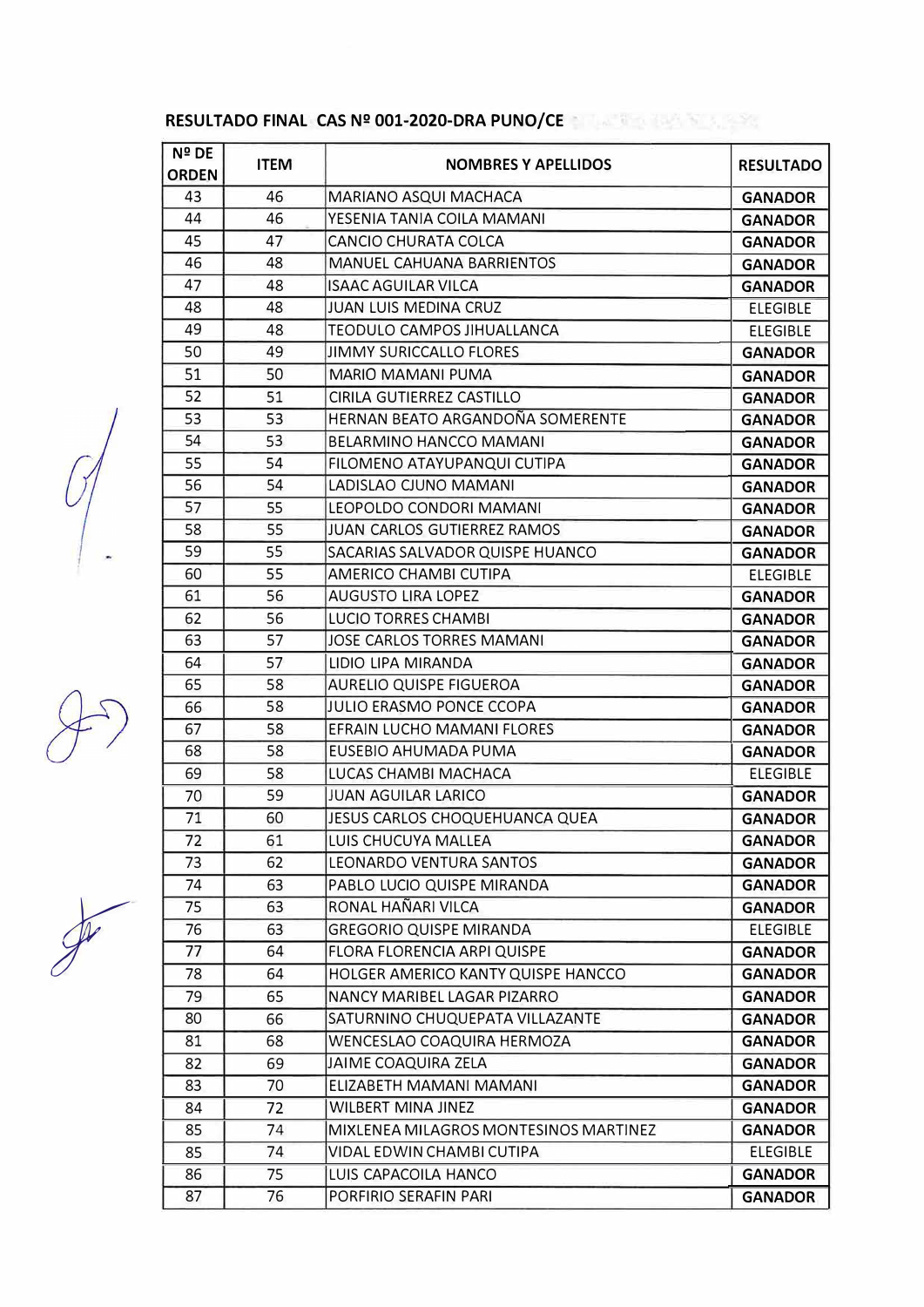| RESULTADO FINAL CAS Nº 001-2020-DRA PUNO/CE |  |
|---------------------------------------------|--|

| <b>ITEM</b> | <b>NOMBRES Y APELLIDOS</b>                               | <b>RESULTADO</b>                                                                                                                                                                                                                                                                                                                                               |
|-------------|----------------------------------------------------------|----------------------------------------------------------------------------------------------------------------------------------------------------------------------------------------------------------------------------------------------------------------------------------------------------------------------------------------------------------------|
| 46          | MARIANO ASQUI MACHACA                                    | <b>GANADOR</b>                                                                                                                                                                                                                                                                                                                                                 |
| 46          | YESENIA TANIA COILA MAMANI                               | <b>GANADOR</b>                                                                                                                                                                                                                                                                                                                                                 |
| 47          | <b>CANCIO CHURATA COLCA</b>                              | <b>GANADOR</b>                                                                                                                                                                                                                                                                                                                                                 |
| 48          | MANUEL CAHUANA BARRIENTOS                                | <b>GANADOR</b>                                                                                                                                                                                                                                                                                                                                                 |
| 48          | <b>ISAAC AGUILAR VILCA</b>                               | <b>GANADOR</b>                                                                                                                                                                                                                                                                                                                                                 |
| 48          | <b>JUAN LUIS MEDINA CRUZ</b>                             | <b>ELEGIBLE</b>                                                                                                                                                                                                                                                                                                                                                |
| 48          | TEODULO CAMPOS JIHUALLANCA                               | <b>ELEGIBLE</b>                                                                                                                                                                                                                                                                                                                                                |
| 49          | <b>JIMMY SURICCALLO FLORES</b>                           | <b>GANADOR</b>                                                                                                                                                                                                                                                                                                                                                 |
| 50          | <b>MARIO MAMANI PUMA</b>                                 | <b>GANADOR</b>                                                                                                                                                                                                                                                                                                                                                 |
| 51          | CIRILA GUTIERREZ CASTILLO                                | <b>GANADOR</b>                                                                                                                                                                                                                                                                                                                                                 |
| 53          | HERNAN BEATO ARGANDOÑA SOMERENTE                         | <b>GANADOR</b>                                                                                                                                                                                                                                                                                                                                                 |
| 53          | BELARMINO HANCCO MAMANI                                  | <b>GANADOR</b>                                                                                                                                                                                                                                                                                                                                                 |
| 54          | FILOMENO ATAYUPANQUI CUTIPA                              | <b>GANADOR</b>                                                                                                                                                                                                                                                                                                                                                 |
| 54          | LADISLAO CJUNO MAMANI                                    | <b>GANADOR</b>                                                                                                                                                                                                                                                                                                                                                 |
| 55          | LEOPOLDO CONDORI MAMANI                                  | <b>GANADOR</b>                                                                                                                                                                                                                                                                                                                                                 |
| 55          | <b>JUAN CARLOS GUTIERREZ RAMOS</b>                       | <b>GANADOR</b>                                                                                                                                                                                                                                                                                                                                                 |
| 55          | SACARIAS SALVADOR QUISPE HUANCO                          | <b>GANADOR</b>                                                                                                                                                                                                                                                                                                                                                 |
| 55          | AMERICO CHAMBI CUTIPA                                    | <b>ELEGIBLE</b>                                                                                                                                                                                                                                                                                                                                                |
| 56          | <b>AUGUSTO LIRA LOPEZ</b>                                | <b>GANADOR</b>                                                                                                                                                                                                                                                                                                                                                 |
| 56          | <b>LUCIO TORRES CHAMBI</b>                               | <b>GANADOR</b>                                                                                                                                                                                                                                                                                                                                                 |
| 57          | JOSE CARLOS TORRES MAMANI                                | <b>GANADOR</b>                                                                                                                                                                                                                                                                                                                                                 |
| 57          | LIDIO LIPA MIRANDA                                       | <b>GANADOR</b>                                                                                                                                                                                                                                                                                                                                                 |
| 58          | <b>AURELIO QUISPE FIGUEROA</b>                           | <b>GANADOR</b>                                                                                                                                                                                                                                                                                                                                                 |
| 58          | <b>JULIO ERASMO PONCE CCOPA</b>                          | <b>GANADOR</b>                                                                                                                                                                                                                                                                                                                                                 |
| 58          | EFRAIN LUCHO MAMANI FLORES                               | <b>GANADOR</b>                                                                                                                                                                                                                                                                                                                                                 |
| 58          | EUSEBIO AHUMADA PUMA                                     | <b>GANADOR</b>                                                                                                                                                                                                                                                                                                                                                 |
| 58          | LUCAS CHAMBI MACHACA                                     | <b>ELEGIBLE</b>                                                                                                                                                                                                                                                                                                                                                |
| 59          | <b>JUAN AGUILAR LARICO</b>                               | <b>GANADOR</b>                                                                                                                                                                                                                                                                                                                                                 |
| 60          | JESUS CARLOS CHOQUEHUANCA QUEA                           | <b>GANADOR</b>                                                                                                                                                                                                                                                                                                                                                 |
| 61          | LUIS CHUCUYA MALLEA                                      | <b>GANADOR</b>                                                                                                                                                                                                                                                                                                                                                 |
| 62          | LEONARDO VENTURA SANTOS                                  | <b>GANADOR</b>                                                                                                                                                                                                                                                                                                                                                 |
|             |                                                          | <b>GANADOR</b>                                                                                                                                                                                                                                                                                                                                                 |
| 63          | RONAL HAÑARI VILCA                                       | <b>GANADOR</b>                                                                                                                                                                                                                                                                                                                                                 |
| 63          |                                                          | <b>ELEGIBLE</b>                                                                                                                                                                                                                                                                                                                                                |
|             | FLORA FLORENCIA ARPI QUISPE                              | <b>GANADOR</b>                                                                                                                                                                                                                                                                                                                                                 |
|             |                                                          | <b>GANADOR</b>                                                                                                                                                                                                                                                                                                                                                 |
|             |                                                          | <b>GANADOR</b>                                                                                                                                                                                                                                                                                                                                                 |
|             |                                                          | <b>GANADOR</b>                                                                                                                                                                                                                                                                                                                                                 |
|             |                                                          | <b>GANADOR</b>                                                                                                                                                                                                                                                                                                                                                 |
| 69          |                                                          | <b>GANADOR</b>                                                                                                                                                                                                                                                                                                                                                 |
|             |                                                          | <b>GANADOR</b>                                                                                                                                                                                                                                                                                                                                                 |
|             |                                                          | <b>GANADOR</b>                                                                                                                                                                                                                                                                                                                                                 |
|             |                                                          | <b>GANADOR</b>                                                                                                                                                                                                                                                                                                                                                 |
|             |                                                          | <b>ELEGIBLE</b>                                                                                                                                                                                                                                                                                                                                                |
|             |                                                          |                                                                                                                                                                                                                                                                                                                                                                |
| 75          | LUIS CAPACOILA HANCO                                     | <b>GANADOR</b>                                                                                                                                                                                                                                                                                                                                                 |
|             | 63<br>64<br>64<br>65<br>66<br>68<br>70<br>72<br>74<br>74 | PABLO LUCIO QUISPE MIRANDA<br><b>GREGORIO QUISPE MIRANDA</b><br>HOLGER AMERICO KANTY QUISPE HANCCO<br>NANCY MARIBEL LAGAR PIZARRO<br>SATURNINO CHUQUEPATA VILLAZANTE<br>WENCESLAO COAQUIRA HERMOZA<br><b>JAIME COAQUIRA ZELA</b><br>ELIZABETH MAMANI MAMANI<br><b>WILBERT MINA JINEZ</b><br>MIXLENEA MILAGROS MONTESINOS MARTINEZ<br>VIDAL EDWIN CHAMBI CUTIPA |





*r*